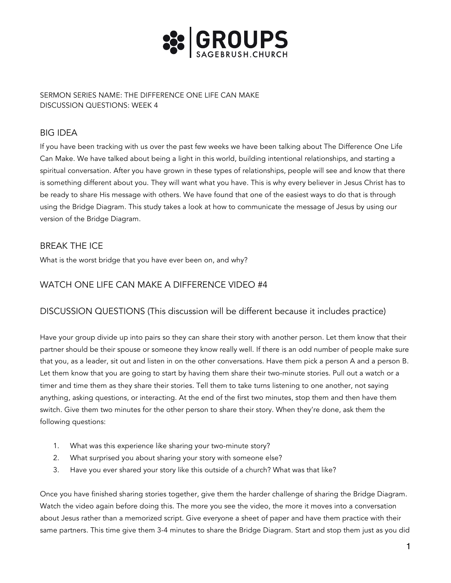

SERMON SERIES NAME: THE DIFFERENCE ONE LIFE CAN MAKE DISCUSSION QUESTIONS: WEEK 4

# BIG IDEA

If you have been tracking with us over the past few weeks we have been talking about The Difference One Life Can Make. We have talked about being a light in this world, building intentional relationships, and starting a spiritual conversation. After you have grown in these types of relationships, people will see and know that there is something different about you. They will want what you have. This is why every believer in Jesus Christ has to be ready to share His message with others. We have found that one of the easiest ways to do that is through using the Bridge Diagram. This study takes a look at how to communicate the message of Jesus by using our version of the Bridge Diagram.

## BREAK THE ICE

What is the worst bridge that you have ever been on, and why?

## WATCH ONE LIFE CAN MAKE A DIFFERENCE VIDEO #4

## DISCUSSION QUESTIONS (This discussion will be different because it includes practice)

Have your group divide up into pairs so they can share their story with another person. Let them know that their partner should be their spouse or someone they know really well. If there is an odd number of people make sure that you, as a leader, sit out and listen in on the other conversations. Have them pick a person A and a person B. Let them know that you are going to start by having them share their two-minute stories. Pull out a watch or a timer and time them as they share their stories. Tell them to take turns listening to one another, not saying anything, asking questions, or interacting. At the end of the first two minutes, stop them and then have them switch. Give them two minutes for the other person to share their story. When they're done, ask them the following questions:

- 1. What was this experience like sharing your two-minute story?
- 2. What surprised you about sharing your story with someone else?
- 3. Have you ever shared your story like this outside of a church? What was that like?

Once you have finished sharing stories together, give them the harder challenge of sharing the Bridge Diagram. Watch the video again before doing this. The more you see the video, the more it moves into a conversation about Jesus rather than a memorized script. Give everyone a sheet of paper and have them practice with their same partners. This time give them 3-4 minutes to share the Bridge Diagram. Start and stop them just as you did